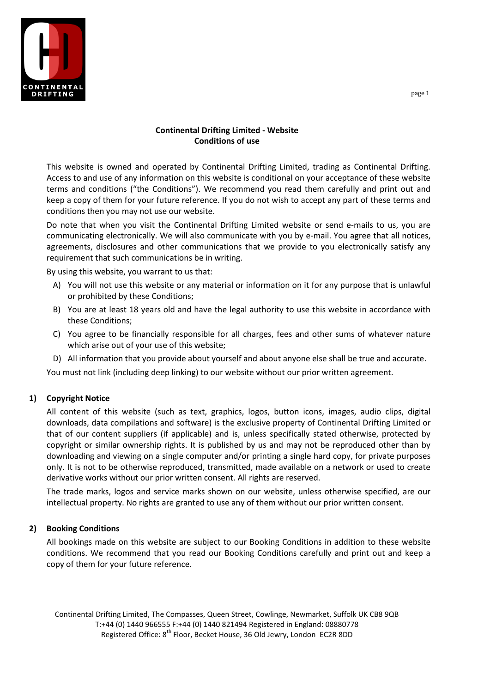

## **Continental Drifting Limited - Website Conditions of use**

This website is owned and operated by Continental Drifting Limited, trading as Continental Drifting. Access to and use of any information on this website is conditional on your acceptance of these website terms and conditions ("the Conditions"). We recommend you read them carefully and print out and keep a copy of them for your future reference. If you do not wish to accept any part of these terms and conditions then you may not use our website.

Do note that when you visit the Continental Drifting Limited website or send e-mails to us, you are communicating electronically. We will also communicate with you by e-mail. You agree that all notices, agreements, disclosures and other communications that we provide to you electronically satisfy any requirement that such communications be in writing.

By using this website, you warrant to us that:

- A) You will not use this website or any material or information on it for any purpose that is unlawful or prohibited by these Conditions;
- B) You are at least 18 years old and have the legal authority to use this website in accordance with these Conditions;
- C) You agree to be financially responsible for all charges, fees and other sums of whatever nature which arise out of your use of this website;
- D) All information that you provide about yourself and about anyone else shall be true and accurate.

You must not link (including deep linking) to our website without our prior written agreement.

### **1) Copyright Notice**

All content of this website (such as text, graphics, logos, button icons, images, audio clips, digital downloads, data compilations and software) is the exclusive property of Continental Drifting Limited or that of our content suppliers (if applicable) and is, unless specifically stated otherwise, protected by copyright or similar ownership rights. It is published by us and may not be reproduced other than by downloading and viewing on a single computer and/or printing a single hard copy, for private purposes only. It is not to be otherwise reproduced, transmitted, made available on a network or used to create derivative works without our prior written consent. All rights are reserved.

The trade marks, logos and service marks shown on our website, unless otherwise specified, are our intellectual property. No rights are granted to use any of them without our prior written consent.

#### **2) Booking Conditions**

All bookings made on this website are subject to our Booking Conditions in addition to these website conditions. We recommend that you read our Booking Conditions carefully and print out and keep a copy of them for your future reference.